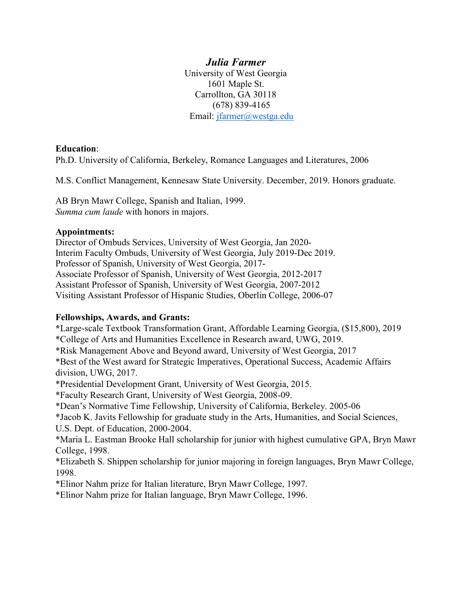# *Julia Farmer*

University of West Georgia 1601 Maple St. Carrollton, GA 30118 (678) 839-4165 Email: [jfarmer@westga.edu](mailto:jfarmer@westga.edu)

# **Education**:

Ph.D. University of California, Berkeley, Romance Languages and Literatures, 2006

M.S. Conflict Management, Kennesaw State University. December, 2019. Honors graduate.

AB Bryn Mawr College, Spanish and Italian, 1999. *Summa cum laude* with honors in majors.

#### **Appointments:**

Director of Ombuds Services, University of West Georgia, Jan 2020- Interim Faculty Ombuds, University of West Georgia, July 2019-Dec 2019. Professor of Spanish, University of West Georgia, 2017- Associate Professor of Spanish, University of West Georgia, 2012-2017 Assistant Professor of Spanish, University of West Georgia, 2007-2012 Visiting Assistant Professor of Hispanic Studies, Oberlin College, 2006-07

# **Fellowships, Awards, and Grants:**

**\***Large-scale Textbook Transformation Grant, Affordable Learning Georgia, (\$15,800), 2019 \*College of Arts and Humanities Excellence in Research award, UWG, 2019. \*Risk Management Above and Beyond award, University of West Georgia, 2017 \*Best of the West award for Strategic Imperatives, Operational Success, Academic Affairs division, UWG, 2017. \*Presidential Development Grant, University of West Georgia, 2015. \*Faculty Research Grant, University of West Georgia, 2008-09. \*Dean's Normative Time Fellowship, University of California, Berkeley. 2005-06 \*Jacob K. Javits Fellowship for graduate study in the Arts, Humanities, and Social Sciences, U.S. Dept. of Education, 2000-2004. \*Maria L. Eastman Brooke Hall scholarship for junior with highest cumulative GPA, Bryn Mawr College, 1998. \*Elizabeth S. Shippen scholarship for junior majoring in foreign languages, Bryn Mawr College, 1998.

\*Elinor Nahm prize for Italian literature, Bryn Mawr College, 1997.

\*Elinor Nahm prize for Italian language, Bryn Mawr College, 1996.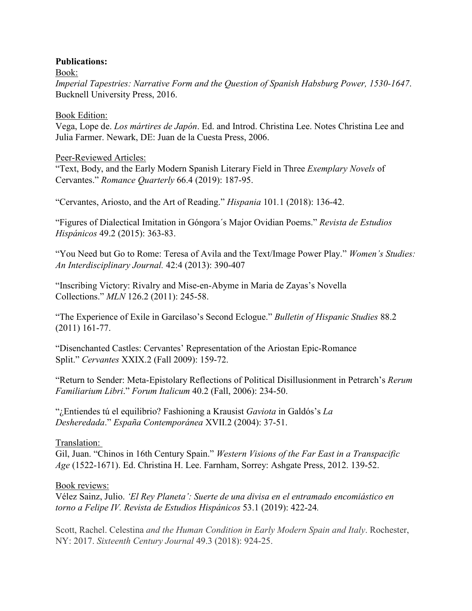#### **Publications:**

Book:

*Imperial Tapestries: Narrative Form and the Question of Spanish Habsburg Power, 1530-1647*. Bucknell University Press, 2016.

#### Book Edition:

Vega, Lope de. *Los mártires de Japón*. Ed. and Introd. Christina Lee. Notes Christina Lee and Julia Farmer. Newark, DE: Juan de la Cuesta Press, 2006.

#### Peer-Reviewed Articles:

"Text, Body, and the Early Modern Spanish Literary Field in Three *Exemplary Novels* of Cervantes." *Romance Quarterly* 66.4 (2019): 187-95.

"Cervantes, Ariosto, and the Art of Reading." *Hispania* 101*.*1 (2018): 136-42.

"Figures of Dialectical Imitation in Góngora´s Major Ovidian Poems." *Revista de Estudios Hispánicos* 49.2 (2015): 363-83.

"You Need but Go to Rome: Teresa of Avila and the Text/Image Power Play." *Women's Studies: An Interdisciplinary Journal.* 42:4 (2013): 390-407

"Inscribing Victory: Rivalry and Mise-en-Abyme in Maria de Zayas's Novella Collections." *MLN* 126.2 (2011): 245-58.

"The Experience of Exile in Garcilaso's Second Eclogue." *Bulletin of Hispanic Studies* 88.2 (2011) 161-77.

"Disenchanted Castles: Cervantes' Representation of the Ariostan Epic-Romance Split." *Cervantes* XXIX.2 (Fall 2009): 159-72.

"Return to Sender: Meta-Epistolary Reflections of Political Disillusionment in Petrarch's *Rerum Familiarium Libri*." *Forum Italicum* 40.2 (Fall, 2006): 234-50.

"¿Entiendes tú el equilibrio? Fashioning a Krausist *Gaviota* in Galdós's *La Desheredada*." *España Contemporánea* XVII.2 (2004): 37-51.

# Translation:

Gil, Juan. "Chinos in 16th Century Spain." *Western Visions of the Far East in a Transpacific Age* (1522-1671). Ed. Christina H. Lee. Farnham, Sorrey: Ashgate Press, 2012. 139-52.

# Book reviews:

Vélez Sainz, Julio. *'El Rey Planeta': Suerte de una divisa en el entramado encomiástico en torno a Felipe IV. Revista de Estudios Hispánicos* 53.1 (2019): 422-24*.* 

Scott, Rachel. Celestina *and the Human Condition in Early Modern Spain and Italy*. Rochester, NY: 2017. *Sixteenth Century Journal* 49.3 (2018): 924-25.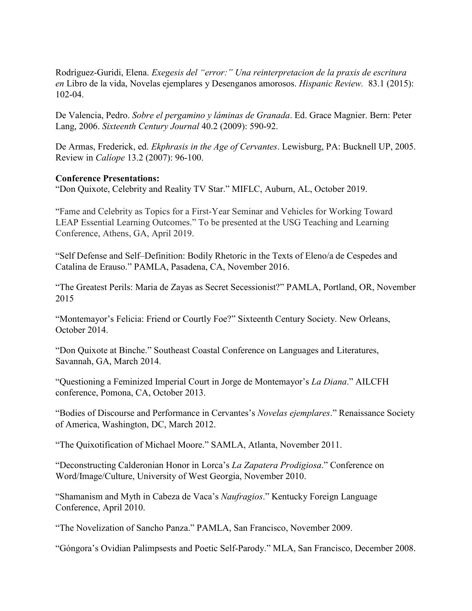Rodríguez-Guridi, Elena. *Exegesis del "error:" Una reinterpretacion de la praxis de escritura en* Libro de la vida, Novelas ejemplares y Desenganos amorosos. *Hispanic Review.* 83.1 (2015): 102-04.

De Valencia, Pedro. *Sobre el pergamino y láminas de Granada*. Ed. Grace Magnier. Bern: Peter Lang, 2006. *Sixteenth Century Journal* 40.2 (2009): 590-92.

De Armas, Frederick, ed. *Ekphrasis in the Age of Cervantes*. Lewisburg, PA: Bucknell UP, 2005. Review in *Calíope* 13.2 (2007): 96-100.

#### **Conference Presentations:**

"Don Quixote, Celebrity and Reality TV Star." MIFLC, Auburn, AL, October 2019.

"Fame and Celebrity as Topics for a First-Year Seminar and Vehicles for Working Toward LEAP Essential Learning Outcomes." To be presented at the USG Teaching and Learning Conference, Athens, GA, April 2019.

"Self Defense and Self–Definition: Bodily Rhetoric in the Texts of Eleno/a de Cespedes and Catalina de Erauso." PAMLA, Pasadena, CA, November 2016.

"The Greatest Perils: Maria de Zayas as Secret Secessionist?" PAMLA, Portland, OR, November 2015

"Montemayor's Felicia: Friend or Courtly Foe?" Sixteenth Century Society. New Orleans, October 2014.

"Don Quixote at Binche." Southeast Coastal Conference on Languages and Literatures, Savannah, GA, March 2014.

"Questioning a Feminized Imperial Court in Jorge de Montemayor's *La Diana*." AILCFH conference, Pomona, CA, October 2013.

"Bodies of Discourse and Performance in Cervantes's *Novelas ejemplares*." Renaissance Society of America, Washington, DC, March 2012.

"The Quixotification of Michael Moore." SAMLA, Atlanta, November 2011.

"Deconstructing Calderonian Honor in Lorca's *La Zapatera Prodigiosa*." Conference on Word/Image/Culture, University of West Georgia, November 2010.

"Shamanism and Myth in Cabeza de Vaca's *Naufragios*." Kentucky Foreign Language Conference, April 2010.

"The Novelization of Sancho Panza." PAMLA, San Francisco, November 2009.

"Góngora's Ovidian Palimpsests and Poetic Self-Parody." MLA, San Francisco, December 2008.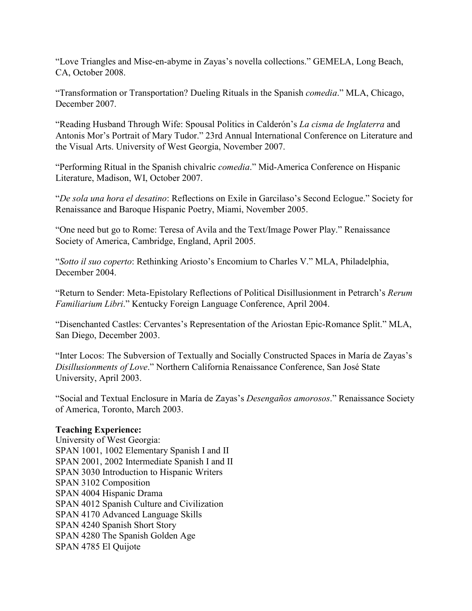"Love Triangles and Mise-en-abyme in Zayas's novella collections." GEMELA, Long Beach, CA, October 2008.

"Transformation or Transportation? Dueling Rituals in the Spanish *comedia*." MLA, Chicago, December 2007.

"Reading Husband Through Wife: Spousal Politics in Calderón's *La cisma de Inglaterra* and Antonis Mor's Portrait of Mary Tudor." 23rd Annual International Conference on Literature and the Visual Arts. University of West Georgia, November 2007.

"Performing Ritual in the Spanish chivalric *comedia*." Mid-America Conference on Hispanic Literature, Madison, WI, October 2007.

"*De sola una hora el desatino*: Reflections on Exile in Garcilaso's Second Eclogue." Society for Renaissance and Baroque Hispanic Poetry, Miami, November 2005.

"One need but go to Rome: Teresa of Avila and the Text/Image Power Play." Renaissance Society of America, Cambridge, England, April 2005.

"*Sotto il suo coperto*: Rethinking Ariosto's Encomium to Charles V." MLA, Philadelphia, December 2004.

"Return to Sender: Meta-Epistolary Reflections of Political Disillusionment in Petrarch's *Rerum Familiarium Libri*." Kentucky Foreign Language Conference, April 2004.

"Disenchanted Castles: Cervantes's Representation of the Ariostan Epic-Romance Split." MLA, San Diego, December 2003.

"Inter Locos: The Subversion of Textually and Socially Constructed Spaces in María de Zayas's *Disillusionments of Love*." Northern California Renaissance Conference, San José State University, April 2003.

"Social and Textual Enclosure in María de Zayas's *Desengaños amorosos*." Renaissance Society of America, Toronto, March 2003.

#### **Teaching Experience:**

University of West Georgia: SPAN 1001, 1002 Elementary Spanish I and II SPAN 2001, 2002 Intermediate Spanish I and II SPAN 3030 Introduction to Hispanic Writers SPAN 3102 Composition SPAN 4004 Hispanic Drama SPAN 4012 Spanish Culture and Civilization SPAN 4170 Advanced Language Skills SPAN 4240 Spanish Short Story SPAN 4280 The Spanish Golden Age SPAN 4785 El Quijote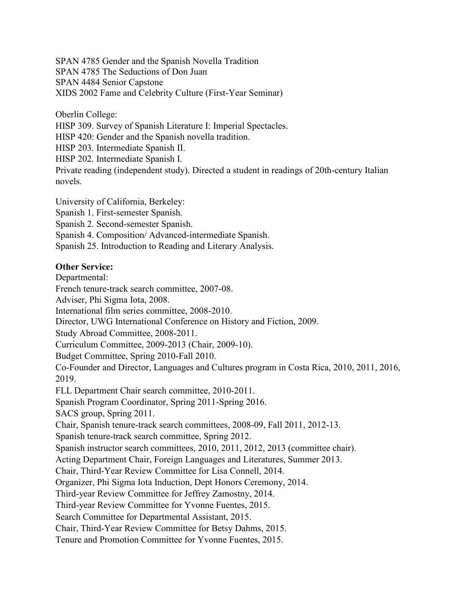SPAN 4785 Gender and the Spanish Novella Tradition SPAN 4785 The Seductions of Don Juan SPAN 4484 Senior Capstone XIDS 2002 Fame and Celebrity Culture (First-Year Seminar)

Oberlin College:

HISP 309. Survey of Spanish Literature I: Imperial Spectacles.

HISP 420: Gender and the Spanish novella tradition.

HISP 203. Intermediate Spanish II.

HISP 202. Intermediate Spanish I.

Private reading (independent study). Directed a student in readings of 20th-century Italian novels.

University of California, Berkeley:

Spanish 1. First-semester Spanish.

Spanish 2. Second-semester Spanish.

Spanish 4. Composition/ Advanced-intermediate Spanish.

Spanish 25. Introduction to Reading and Literary Analysis.

# **Other Service:**

Departmental: French tenure-track search committee, 2007-08. Adviser, Phi Sigma Iota, 2008. International film series committee, 2008-2010. Director, UWG International Conference on History and Fiction, 2009. Study Abroad Committee, 2008-2011. Curriculum Committee, 2009-2013 (Chair, 2009-10). Budget Committee, Spring 2010-Fall 2010. Co-Founder and Director, Languages and Cultures program in Costa Rica, 2010, 2011, 2016, 2019. FLL Department Chair search committee, 2010-2011. Spanish Program Coordinator, Spring 2011-Spring 2016. SACS group, Spring 2011. Chair, Spanish tenure-track search committees, 2008-09, Fall 2011, 2012-13. Spanish tenure-track search committee, Spring 2012. Spanish instructor search committees, 2010, 2011, 2012, 2013 (committee chair). Acting Department Chair, Foreign Languages and Literatures, Summer 2013. Chair, Third-Year Review Committee for Lisa Connell, 2014. Organizer, Phi Sigma Iota Induction, Dept Honors Ceremony, 2014. Third-year Review Committee for Jeffrey Zamostny, 2014. Third-year Review Committee for Yvonne Fuentes, 2015. Search Committee for Departmental Assistant, 2015. Chair, Third-Year Review Committee for Betsy Dahms, 2015. Tenure and Promotion Committee for Yvonne Fuentes, 2015.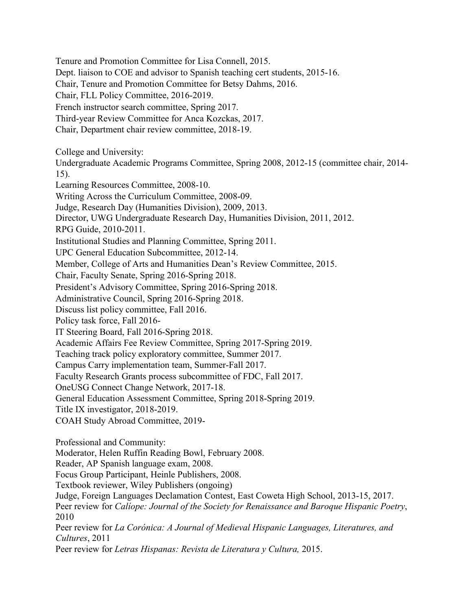Tenure and Promotion Committee for Lisa Connell, 2015. Dept. liaison to COE and advisor to Spanish teaching cert students, 2015-16. Chair, Tenure and Promotion Committee for Betsy Dahms, 2016. Chair, FLL Policy Committee, 2016-2019. French instructor search committee, Spring 2017. Third-year Review Committee for Anca Kozckas, 2017. Chair, Department chair review committee, 2018-19. College and University: Undergraduate Academic Programs Committee, Spring 2008, 2012-15 (committee chair, 2014- 15). Learning Resources Committee, 2008-10. Writing Across the Curriculum Committee, 2008-09. Judge, Research Day (Humanities Division), 2009, 2013. Director, UWG Undergraduate Research Day, Humanities Division, 2011, 2012. RPG Guide, 2010-2011. Institutional Studies and Planning Committee, Spring 2011. UPC General Education Subcommittee, 2012-14. Member, College of Arts and Humanities Dean's Review Committee, 2015. Chair, Faculty Senate, Spring 2016-Spring 2018. President's Advisory Committee, Spring 2016-Spring 2018. Administrative Council, Spring 2016-Spring 2018. Discuss list policy committee, Fall 2016. Policy task force, Fall 2016- IT Steering Board, Fall 2016-Spring 2018. Academic Affairs Fee Review Committee, Spring 2017-Spring 2019. Teaching track policy exploratory committee, Summer 2017. Campus Carry implementation team, Summer-Fall 2017. Faculty Research Grants process subcommittee of FDC, Fall 2017. OneUSG Connect Change Network, 2017-18. General Education Assessment Committee, Spring 2018-Spring 2019. Title IX investigator, 2018-2019. COAH Study Abroad Committee, 2019- Professional and Community: Moderator, Helen Ruffin Reading Bowl, February 2008. Reader, AP Spanish language exam, 2008. Focus Group Participant, Heinle Publishers, 2008. Textbook reviewer, Wiley Publishers (ongoing) Judge, Foreign Languages Declamation Contest, East Coweta High School, 2013-15, 2017. Peer review for *Calíope: Journal of the Society for Renaissance and Baroque Hispanic Poetry*, 2010 Peer review for *La Corónica: A Journal of Medieval Hispanic Languages, Literatures, and Cultures*, 2011 Peer review for *Letras Hispanas: Revista de Literatura y Cultura,* 2015.